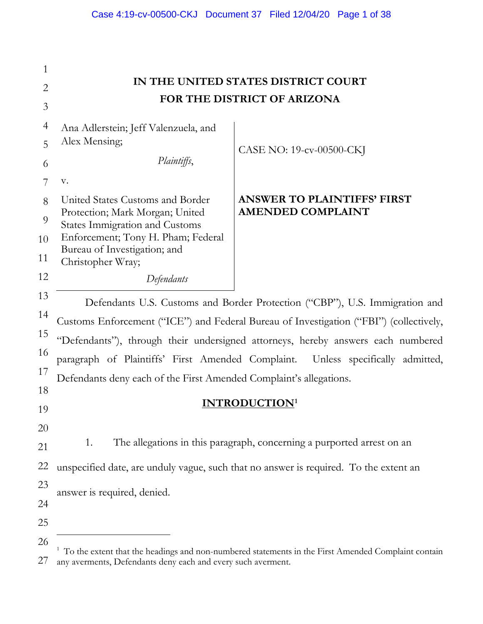| 1              |                                                                          |                                                                                        |
|----------------|--------------------------------------------------------------------------|----------------------------------------------------------------------------------------|
| $\overline{2}$ |                                                                          | IN THE UNITED STATES DISTRICT COURT                                                    |
| 3              |                                                                          | FOR THE DISTRICT OF ARIZONA                                                            |
| 4              | Ana Adlerstein; Jeff Valenzuela, and                                     |                                                                                        |
| 5              | Alex Mensing;                                                            | CASE NO: 19-cv-00500-CKJ                                                               |
| 6              | Plaintiffs,                                                              |                                                                                        |
| 7              | V.                                                                       |                                                                                        |
| 8              | United States Customs and Border                                         | <b>ANSWER TO PLAINTIFFS' FIRST</b>                                                     |
| 9              | Protection; Mark Morgan; United<br><b>States Immigration and Customs</b> | <b>AMENDED COMPLAINT</b>                                                               |
| 10             | Enforcement; Tony H. Pham; Federal                                       |                                                                                        |
| 11             | Bureau of Investigation; and<br>Christopher Wray;                        |                                                                                        |
| 12             | Defendants                                                               |                                                                                        |
| 13             |                                                                          | Defendants U.S. Customs and Border Protection ("CBP"), U.S. Immigration and            |
| 14             |                                                                          | Customs Enforcement ("ICE") and Federal Bureau of Investigation ("FBI") (collectively, |
| 15             |                                                                          | "Defendants"), through their undersigned attorneys, hereby answers each numbered       |
| 16             |                                                                          | paragraph of Plaintiffs' First Amended Complaint. Unless specifically admitted,        |
| 17             | Defendants deny each of the First Amended Complaint's allegations.       |                                                                                        |
| 18             |                                                                          |                                                                                        |
| 19             |                                                                          | <b>INTRODUCTION</b>                                                                    |
| 20             |                                                                          |                                                                                        |
| 21             | 1.                                                                       | The allegations in this paragraph, concerning a purported arrest on an                 |
| 22             |                                                                          | unspecified date, are unduly vague, such that no answer is required. To the extent an  |
| 23             | answer is required, denied.                                              |                                                                                        |
| 24             |                                                                          |                                                                                        |
| 25             |                                                                          |                                                                                        |
| 26             |                                                                          |                                                                                        |

<span id="page-0-0"></span><sup>27</sup> <sup>1</sup> To the extent that the headings and non-numbered statements in the First Amended Complaint contain any averments, Defendants deny each and every such averment.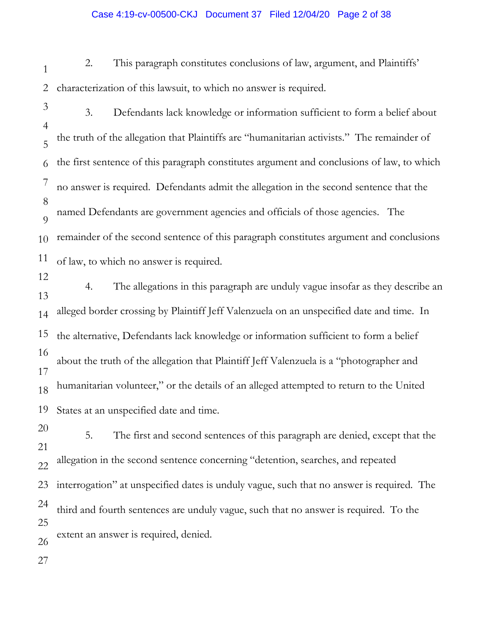#### Case 4:19-cv-00500-CKJ Document 37 Filed 12/04/20 Page 2 of 38

- 1 2 2. This paragraph constitutes conclusions of law, argument, and Plaintiffs' characterization of this lawsuit, to which no answer is required.
- 3 4 5 6 7 8  $\overline{Q}$ 10 11 12 3. Defendants lack knowledge or information sufficient to form a belief about the truth of the allegation that Plaintiffs are "humanitarian activists." The remainder of the first sentence of this paragraph constitutes argument and conclusions of law, to which no answer is required. Defendants admit the allegation in the second sentence that the named Defendants are government agencies and officials of those agencies. The remainder of the second sentence of this paragraph constitutes argument and conclusions of law, to which no answer is required.
- 13 14 15 16 17 18 19 4. The allegations in this paragraph are unduly vague insofar as they describe an alleged border crossing by Plaintiff Jeff Valenzuela on an unspecified date and time. In the alternative, Defendants lack knowledge or information sufficient to form a belief about the truth of the allegation that Plaintiff Jeff Valenzuela is a "photographer and humanitarian volunteer," or the details of an alleged attempted to return to the United States at an unspecified date and time.
- 20 21 22 23 24 25 26 5. The first and second sentences of this paragraph are denied, except that the allegation in the second sentence concerning "detention, searches, and repeated interrogation" at unspecified dates is unduly vague, such that no answer is required. The third and fourth sentences are unduly vague, such that no answer is required. To the extent an answer is required, denied.
- 27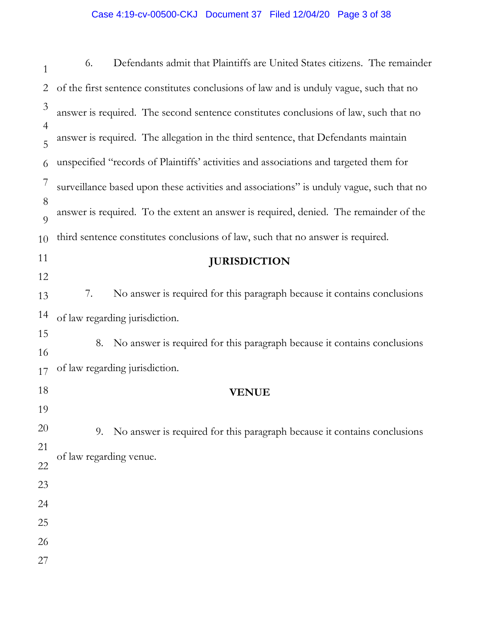# Case 4:19-cv-00500-CKJ Document 37 Filed 12/04/20 Page 3 of 38

| $\mathbf{1}$        | Defendants admit that Plaintiffs are United States citizens. The remainder<br>6.         |
|---------------------|------------------------------------------------------------------------------------------|
| $\overline{2}$      | of the first sentence constitutes conclusions of law and is unduly vague, such that no   |
| $\mathfrak{Z}$      | answer is required. The second sentence constitutes conclusions of law, such that no     |
| $\overline{4}$<br>5 | answer is required. The allegation in the third sentence, that Defendants maintain       |
| 6                   | unspecified "records of Plaintiffs' activities and associations and targeted them for    |
| $\overline{7}$      | surveillance based upon these activities and associations" is unduly vague, such that no |
| 8<br>9              | answer is required. To the extent an answer is required, denied. The remainder of the    |
| 10                  | third sentence constitutes conclusions of law, such that no answer is required.          |
| 11                  | <b>JURISDICTION</b>                                                                      |
| 12                  |                                                                                          |
| 13                  | 7.<br>No answer is required for this paragraph because it contains conclusions           |
| 14                  | of law regarding jurisdiction.                                                           |
| 15                  | No answer is required for this paragraph because it contains conclusions<br>8.           |
| 16                  | of law regarding jurisdiction.                                                           |
| 17                  |                                                                                          |
| 18                  | <b>VENUE</b>                                                                             |
| 19                  |                                                                                          |
| 20                  | No answer is required for this paragraph because it contains conclusions<br>9.           |
| 21<br>22            | of law regarding venue.                                                                  |
| 23                  |                                                                                          |
| 24                  |                                                                                          |
| 25                  |                                                                                          |
| 26                  |                                                                                          |
| 27                  |                                                                                          |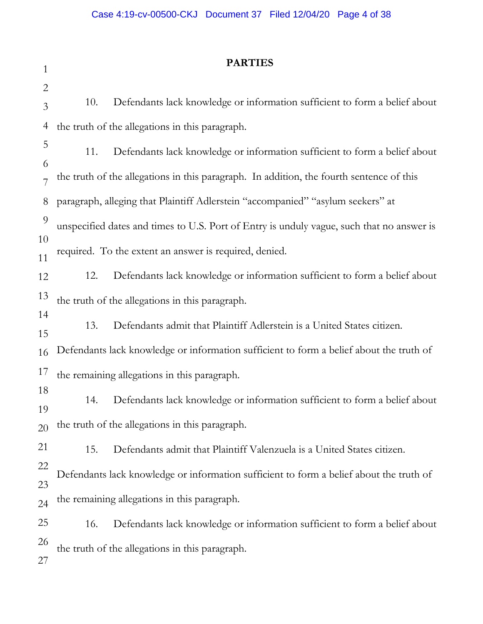| $\mathbf{1}$   |     | <b>PARTIES</b>                                                                            |
|----------------|-----|-------------------------------------------------------------------------------------------|
| $\mathbf{2}$   |     |                                                                                           |
| 3              | 10. | Defendants lack knowledge or information sufficient to form a belief about                |
| $\overline{4}$ |     | the truth of the allegations in this paragraph.                                           |
| 5              | 11. | Defendants lack knowledge or information sufficient to form a belief about                |
| 6<br>7         |     | the truth of the allegations in this paragraph. In addition, the fourth sentence of this  |
| 8              |     | paragraph, alleging that Plaintiff Adlerstein "accompanied" "asylum seekers" at           |
| 9              |     | unspecified dates and times to U.S. Port of Entry is unduly vague, such that no answer is |
| 10<br>11       |     | required. To the extent an answer is required, denied.                                    |
| 12             | 12. | Defendants lack knowledge or information sufficient to form a belief about                |
| 13             |     | the truth of the allegations in this paragraph.                                           |
| 14<br>15       | 13. | Defendants admit that Plaintiff Adlerstein is a United States citizen.                    |
| 16             |     | Defendants lack knowledge or information sufficient to form a belief about the truth of   |
| 17             |     | the remaining allegations in this paragraph.                                              |
| 18<br>19       | 14. | Defendants lack knowledge or information sufficient to form a belief about                |
| 20             |     | the truth of the allegations in this paragraph.                                           |
| 21             | 15. | Defendants admit that Plaintiff Valenzuela is a United States citizen.                    |
| 22<br>23       |     | Defendants lack knowledge or information sufficient to form a belief about the truth of   |
| 24             |     | the remaining allegations in this paragraph.                                              |
| 25             | 16. | Defendants lack knowledge or information sufficient to form a belief about                |
| 26<br>27       |     | the truth of the allegations in this paragraph.                                           |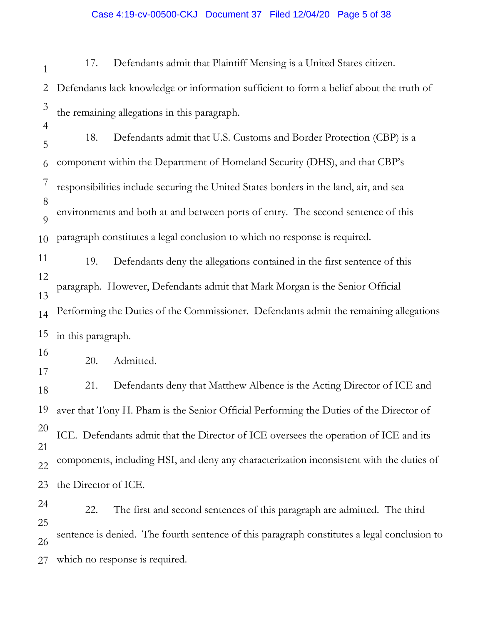### Case 4:19-cv-00500-CKJ Document 37 Filed 12/04/20 Page 5 of 38

1 2 3 4 5 6 7 8  $\overline{Q}$ 10 11 12 13 14 15 16 17 18 19 20 21 22 23 24 25 26 27 17. Defendants admit that Plaintiff Mensing is a United States citizen. Defendants lack knowledge or information sufficient to form a belief about the truth of the remaining allegations in this paragraph. 18. Defendants admit that U.S. Customs and Border Protection (CBP) is a component within the Department of Homeland Security (DHS), and that CBP's responsibilities include securing the United States borders in the land, air, and sea environments and both at and between ports of entry. The second sentence of this paragraph constitutes a legal conclusion to which no response is required. 19. Defendants deny the allegations contained in the first sentence of this paragraph. However, Defendants admit that Mark Morgan is the Senior Official Performing the Duties of the Commissioner. Defendants admit the remaining allegations in this paragraph. 20. Admitted. 21. Defendants deny that Matthew Albence is the Acting Director of ICE and aver that Tony H. Pham is the Senior Official Performing the Duties of the Director of ICE. Defendants admit that the Director of ICE oversees the operation of ICE and its components, including HSI, and deny any characterization inconsistent with the duties of the Director of ICE. 22. The first and second sentences of this paragraph are admitted. The third sentence is denied. The fourth sentence of this paragraph constitutes a legal conclusion to which no response is required.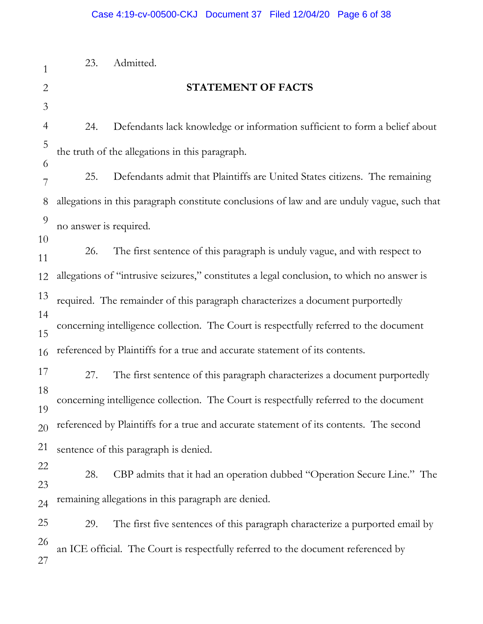| $\mathbf{1}$   | 23.                    | Admitted.                                                                                   |
|----------------|------------------------|---------------------------------------------------------------------------------------------|
| $\overline{2}$ |                        | STATEMENT OF FACTS                                                                          |
| $\mathfrak{Z}$ |                        |                                                                                             |
| $\overline{4}$ | 24.                    | Defendants lack knowledge or information sufficient to form a belief about                  |
| 5              |                        | the truth of the allegations in this paragraph.                                             |
| 6              | 25.                    | Defendants admit that Plaintiffs are United States citizens. The remaining                  |
| 7              |                        |                                                                                             |
| 8              |                        | allegations in this paragraph constitute conclusions of law and are unduly vague, such that |
| 9              | no answer is required. |                                                                                             |
| 10<br>11       | 26.                    | The first sentence of this paragraph is unduly vague, and with respect to                   |
| 12             |                        | allegations of "intrusive seizures," constitutes a legal conclusion, to which no answer is  |
| 13             |                        | required. The remainder of this paragraph characterizes a document purportedly              |
| 14             |                        | concerning intelligence collection. The Court is respectfully referred to the document      |
| 15             |                        |                                                                                             |
| 16             |                        | referenced by Plaintiffs for a true and accurate statement of its contents.                 |
| 17             | 27.                    | The first sentence of this paragraph characterizes a document purportedly                   |
| 18             |                        | concerning intelligence collection. The Court is respectfully referred to the document      |
| 19<br>20       |                        | referenced by Plaintiffs for a true and accurate statement of its contents. The second      |
| 21             |                        | sentence of this paragraph is denied.                                                       |
| 22             |                        |                                                                                             |
| 23             | 28.                    | CBP admits that it had an operation dubbed "Operation Secure Line." The                     |
| 24             |                        | remaining allegations in this paragraph are denied.                                         |
| 25             | 29.                    | The first five sentences of this paragraph characterize a purported email by                |
| 26             |                        | an ICE official. The Court is respectfully referred to the document referenced by           |
| 27             |                        |                                                                                             |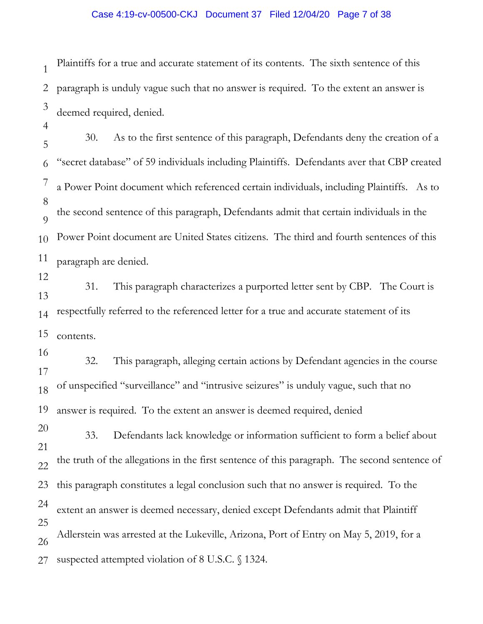## Case 4:19-cv-00500-CKJ Document 37 Filed 12/04/20 Page 7 of 38

1 2 3 Plaintiffs for a true and accurate statement of its contents. The sixth sentence of this paragraph is unduly vague such that no answer is required. To the extent an answer is deemed required, denied.

4

5 6 7 8  $\overline{Q}$ 10 11 30. As to the first sentence of this paragraph, Defendants deny the creation of a "secret database" of 59 individuals including Plaintiffs. Defendants aver that CBP created a Power Point document which referenced certain individuals, including Plaintiffs. As to the second sentence of this paragraph, Defendants admit that certain individuals in the Power Point document are United States citizens. The third and fourth sentences of this paragraph are denied.

12

13 14 15 31. This paragraph characterizes a purported letter sent by CBP. The Court is respectfully referred to the referenced letter for a true and accurate statement of its contents.

16 17 18 19 32. This paragraph, alleging certain actions by Defendant agencies in the course of unspecified "surveillance" and "intrusive seizures" is unduly vague, such that no answer is required. To the extent an answer is deemed required, denied

20 21 22 23 24 25 26 27 33. Defendants lack knowledge or information sufficient to form a belief about the truth of the allegations in the first sentence of this paragraph. The second sentence of this paragraph constitutes a legal conclusion such that no answer is required. To the extent an answer is deemed necessary, denied except Defendants admit that Plaintiff Adlerstein was arrested at the Lukeville, Arizona, Port of Entry on May 5, 2019, for a suspected attempted violation of 8 U.S.C. § 1324.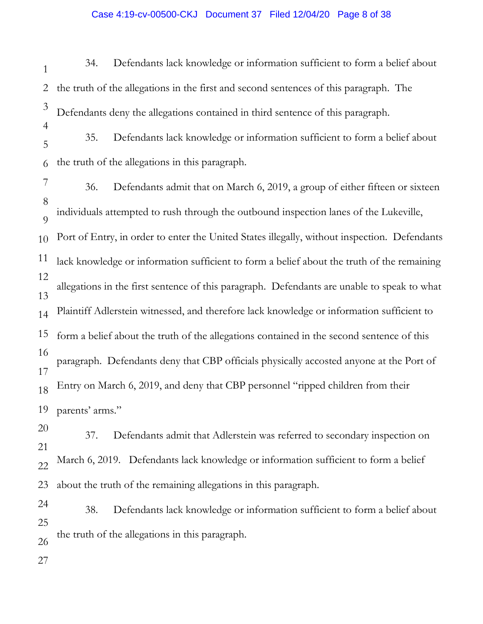## Case 4:19-cv-00500-CKJ Document 37 Filed 12/04/20 Page 8 of 38

1 2 3 4 5 6 7 8  $\overline{Q}$ 10 11 12 13 14 15 16 17 18 19 20 21 22 23 24 25 26 27 34. Defendants lack knowledge or information sufficient to form a belief about the truth of the allegations in the first and second sentences of this paragraph. The Defendants deny the allegations contained in third sentence of this paragraph. 35. Defendants lack knowledge or information sufficient to form a belief about the truth of the allegations in this paragraph. 36. Defendants admit that on March 6, 2019, a group of either fifteen or sixteen individuals attempted to rush through the outbound inspection lanes of the Lukeville, Port of Entry, in order to enter the United States illegally, without inspection. Defendants lack knowledge or information sufficient to form a belief about the truth of the remaining allegations in the first sentence of this paragraph. Defendants are unable to speak to what Plaintiff Adlerstein witnessed, and therefore lack knowledge or information sufficient to form a belief about the truth of the allegations contained in the second sentence of this paragraph. Defendants deny that CBP officials physically accosted anyone at the Port of Entry on March 6, 2019, and deny that CBP personnel "ripped children from their parents' arms." 37. Defendants admit that Adlerstein was referred to secondary inspection on March 6, 2019. Defendants lack knowledge or information sufficient to form a belief about the truth of the remaining allegations in this paragraph. 38. Defendants lack knowledge or information sufficient to form a belief about the truth of the allegations in this paragraph.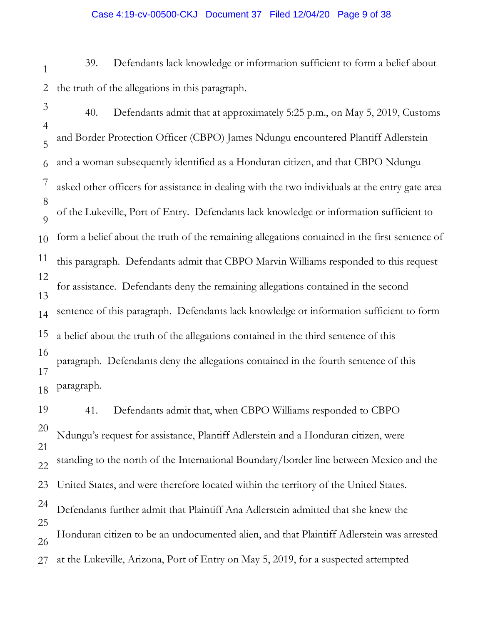#### Case 4:19-cv-00500-CKJ Document 37 Filed 12/04/20 Page 9 of 38

- 1 2 39. Defendants lack knowledge or information sufficient to form a belief about the truth of the allegations in this paragraph.
- 3 4 5 6 7 8  $\overline{Q}$ 10 11 12 13 14 15 16 17 18 40. Defendants admit that at approximately 5:25 p.m., on May 5, 2019, Customs and Border Protection Officer (CBPO) James Ndungu encountered Plantiff Adlerstein and a woman subsequently identified as a Honduran citizen, and that CBPO Ndungu asked other officers for assistance in dealing with the two individuals at the entry gate area of the Lukeville, Port of Entry. Defendants lack knowledge or information sufficient to form a belief about the truth of the remaining allegations contained in the first sentence of this paragraph. Defendants admit that CBPO Marvin Williams responded to this request for assistance. Defendants deny the remaining allegations contained in the second sentence of this paragraph. Defendants lack knowledge or information sufficient to form a belief about the truth of the allegations contained in the third sentence of this paragraph. Defendants deny the allegations contained in the fourth sentence of this paragraph.

19 20 21 22 23 24 25 26 27 41. Defendants admit that, when CBPO Williams responded to CBPO Ndungu's request for assistance, Plantiff Adlerstein and a Honduran citizen, were standing to the north of the International Boundary/border line between Mexico and the United States, and were therefore located within the territory of the United States. Defendants further admit that Plaintiff Ana Adlerstein admitted that she knew the Honduran citizen to be an undocumented alien, and that Plaintiff Adlerstein was arrested at the Lukeville, Arizona, Port of Entry on May 5, 2019, for a suspected attempted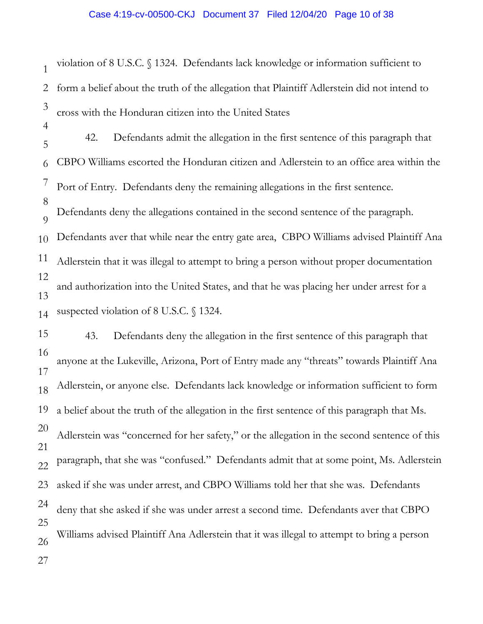1 2 3 violation of 8 U.S.C. § 1324. Defendants lack knowledge or information sufficient to form a belief about the truth of the allegation that Plaintiff Adlerstein did not intend to cross with the Honduran citizen into the United States

4

5 6 7 8  $\overline{Q}$ 10 11 12 13 14 42. Defendants admit the allegation in the first sentence of this paragraph that CBPO Williams escorted the Honduran citizen and Adlerstein to an office area within the Port of Entry. Defendants deny the remaining allegations in the first sentence. Defendants deny the allegations contained in the second sentence of the paragraph. Defendants aver that while near the entry gate area, CBPO Williams advised Plaintiff Ana Adlerstein that it was illegal to attempt to bring a person without proper documentation and authorization into the United States, and that he was placing her under arrest for a suspected violation of 8 U.S.C. § 1324.

15 16 17 18 19 20 21 22 23 24 25 26 27 43. Defendants deny the allegation in the first sentence of this paragraph that anyone at the Lukeville, Arizona, Port of Entry made any "threats" towards Plaintiff Ana Adlerstein, or anyone else. Defendants lack knowledge or information sufficient to form a belief about the truth of the allegation in the first sentence of this paragraph that Ms. Adlerstein was "concerned for her safety," or the allegation in the second sentence of this paragraph, that she was "confused." Defendants admit that at some point, Ms. Adlerstein asked if she was under arrest, and CBPO Williams told her that she was. Defendants deny that she asked if she was under arrest a second time. Defendants aver that CBPO Williams advised Plaintiff Ana Adlerstein that it was illegal to attempt to bring a person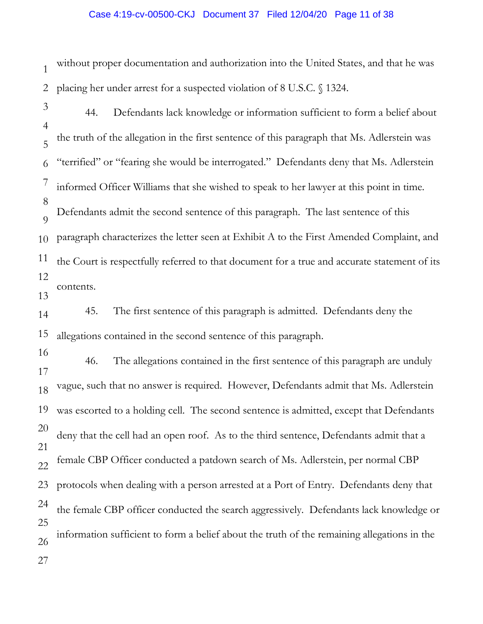### Case 4:19-cv-00500-CKJ Document 37 Filed 12/04/20 Page 11 of 38

1 2 without proper documentation and authorization into the United States, and that he was placing her under arrest for a suspected violation of 8 U.S.C. § 1324.

3 4 5 6 7 8  $\overline{Q}$ 10 11 12 13 14 15 16 44. Defendants lack knowledge or information sufficient to form a belief about the truth of the allegation in the first sentence of this paragraph that Ms. Adlerstein was "terrified" or "fearing she would be interrogated." Defendants deny that Ms. Adlerstein informed Officer Williams that she wished to speak to her lawyer at this point in time. Defendants admit the second sentence of this paragraph. The last sentence of this paragraph characterizes the letter seen at Exhibit A to the First Amended Complaint, and the Court is respectfully referred to that document for a true and accurate statement of its contents. 45. The first sentence of this paragraph is admitted. Defendants deny the allegations contained in the second sentence of this paragraph.

17 18 19 20 21 22 23 24 25 26 27 46. The allegations contained in the first sentence of this paragraph are unduly vague, such that no answer is required. However, Defendants admit that Ms. Adlerstein was escorted to a holding cell. The second sentence is admitted, except that Defendants deny that the cell had an open roof. As to the third sentence, Defendants admit that a female CBP Officer conducted a patdown search of Ms. Adlerstein, per normal CBP protocols when dealing with a person arrested at a Port of Entry. Defendants deny that the female CBP officer conducted the search aggressively. Defendants lack knowledge or information sufficient to form a belief about the truth of the remaining allegations in the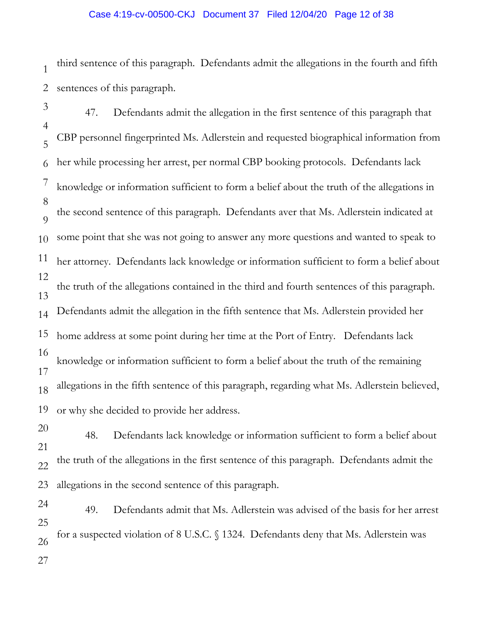# Case 4:19-cv-00500-CKJ Document 37 Filed 12/04/20 Page 12 of 38

1 2 third sentence of this paragraph. Defendants admit the allegations in the fourth and fifth sentences of this paragraph.

- 3 4 5 6 7 8  $\overline{Q}$ 10 11 12 13 14 15 16 17 18 19 20 47. Defendants admit the allegation in the first sentence of this paragraph that CBP personnel fingerprinted Ms. Adlerstein and requested biographical information from her while processing her arrest, per normal CBP booking protocols. Defendants lack knowledge or information sufficient to form a belief about the truth of the allegations in the second sentence of this paragraph. Defendants aver that Ms. Adlerstein indicated at some point that she was not going to answer any more questions and wanted to speak to her attorney. Defendants lack knowledge or information sufficient to form a belief about the truth of the allegations contained in the third and fourth sentences of this paragraph. Defendants admit the allegation in the fifth sentence that Ms. Adlerstein provided her home address at some point during her time at the Port of Entry. Defendants lack knowledge or information sufficient to form a belief about the truth of the remaining allegations in the fifth sentence of this paragraph, regarding what Ms. Adlerstein believed, or why she decided to provide her address.
- 21 22 23 48. Defendants lack knowledge or information sufficient to form a belief about the truth of the allegations in the first sentence of this paragraph. Defendants admit the allegations in the second sentence of this paragraph.
- 24 25 26 27 49. Defendants admit that Ms. Adlerstein was advised of the basis for her arrest for a suspected violation of 8 U.S.C. § 1324. Defendants deny that Ms. Adlerstein was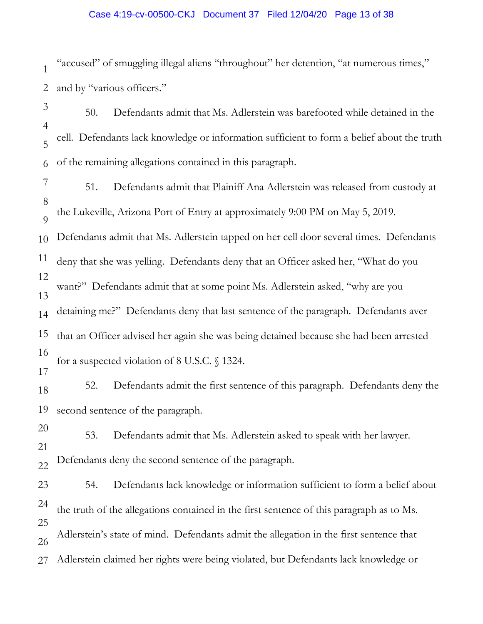# Case 4:19-cv-00500-CKJ Document 37 Filed 12/04/20 Page 13 of 38

1 2 "accused" of smuggling illegal aliens "throughout" her detention, "at numerous times," and by "various officers."

3 4 5 6 50. Defendants admit that Ms. Adlerstein was barefooted while detained in the cell. Defendants lack knowledge or information sufficient to form a belief about the truth of the remaining allegations contained in this paragraph.

7 8  $\overline{Q}$ 51. Defendants admit that Plainiff Ana Adlerstein was released from custody at the Lukeville, Arizona Port of Entry at approximately 9:00 PM on May 5, 2019.

10 Defendants admit that Ms. Adlerstein tapped on her cell door several times. Defendants

11 deny that she was yelling. Defendants deny that an Officer asked her, "What do you

13 want?" Defendants admit that at some point Ms. Adlerstein asked, "why are you

14 detaining me?" Defendants deny that last sentence of the paragraph. Defendants aver

15 that an Officer advised her again she was being detained because she had been arrested

16

17 for a suspected violation of 8 U.S.C. § 1324.

12

18 19 52. Defendants admit the first sentence of this paragraph. Defendants deny the second sentence of the paragraph.

20 21 22 53. Defendants admit that Ms. Adlerstein asked to speak with her lawyer. Defendants deny the second sentence of the paragraph.

23 24 25 26 27 54. Defendants lack knowledge or information sufficient to form a belief about the truth of the allegations contained in the first sentence of this paragraph as to Ms. Adlerstein's state of mind. Defendants admit the allegation in the first sentence that Adlerstein claimed her rights were being violated, but Defendants lack knowledge or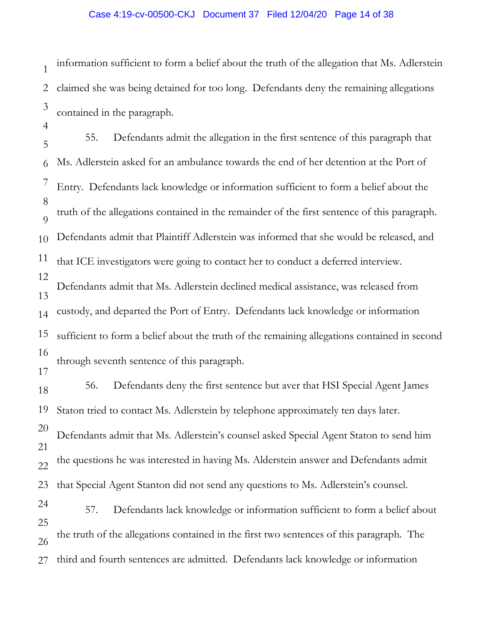# Case 4:19-cv-00500-CKJ Document 37 Filed 12/04/20 Page 14 of 38

1 2 3 information sufficient to form a belief about the truth of the allegation that Ms. Adlerstein claimed she was being detained for too long. Defendants deny the remaining allegations contained in the paragraph.

4

25

5 6 7 8  $\overline{Q}$ 10 11 12 13 14 15 16 17 18 19 20 21 22 23 24 55. Defendants admit the allegation in the first sentence of this paragraph that Ms. Adlerstein asked for an ambulance towards the end of her detention at the Port of Entry. Defendants lack knowledge or information sufficient to form a belief about the truth of the allegations contained in the remainder of the first sentence of this paragraph. Defendants admit that Plaintiff Adlerstein was informed that she would be released, and that ICE investigators were going to contact her to conduct a deferred interview. Defendants admit that Ms. Adlerstein declined medical assistance, was released from custody, and departed the Port of Entry. Defendants lack knowledge or information sufficient to form a belief about the truth of the remaining allegations contained in second through seventh sentence of this paragraph. 56. Defendants deny the first sentence but aver that HSI Special Agent James Staton tried to contact Ms. Adlerstein by telephone approximately ten days later. Defendants admit that Ms. Adlerstein's counsel asked Special Agent Staton to send him the questions he was interested in having Ms. Alderstein answer and Defendants admit that Special Agent Stanton did not send any questions to Ms. Adlerstein's counsel. 57. Defendants lack knowledge or information sufficient to form a belief about

26 the truth of the allegations contained in the first two sentences of this paragraph. The

27 third and fourth sentences are admitted. Defendants lack knowledge or information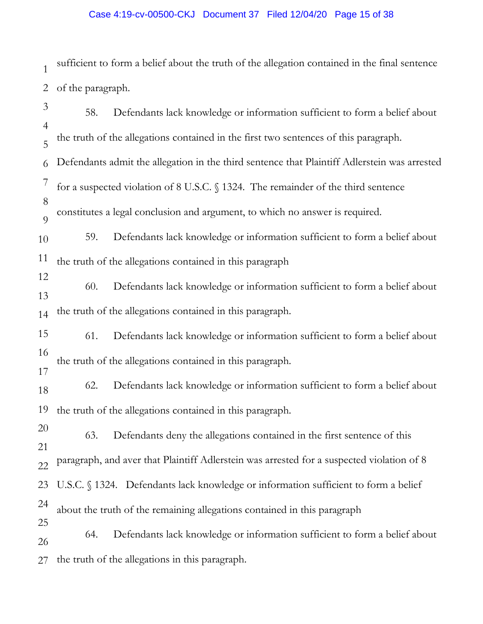## Case 4:19-cv-00500-CKJ Document 37 Filed 12/04/20 Page 15 of 38

1 2 sufficient to form a belief about the truth of the allegation contained in the final sentence of the paragraph.

3 4 5 6 7 8  $\overline{O}$ 10 11 12 13 14 15 16 17 18 19 20 21 22 23 24 25 26 27 58. Defendants lack knowledge or information sufficient to form a belief about the truth of the allegations contained in the first two sentences of this paragraph. Defendants admit the allegation in the third sentence that Plaintiff Adlerstein was arrested for a suspected violation of 8 U.S.C. § 1324. The remainder of the third sentence constitutes a legal conclusion and argument, to which no answer is required. 59. Defendants lack knowledge or information sufficient to form a belief about the truth of the allegations contained in this paragraph 60. Defendants lack knowledge or information sufficient to form a belief about the truth of the allegations contained in this paragraph. 61. Defendants lack knowledge or information sufficient to form a belief about the truth of the allegations contained in this paragraph. 62. Defendants lack knowledge or information sufficient to form a belief about the truth of the allegations contained in this paragraph. 63. Defendants deny the allegations contained in the first sentence of this paragraph, and aver that Plaintiff Adlerstein was arrested for a suspected violation of 8 U.S.C. § 1324. Defendants lack knowledge or information sufficient to form a belief about the truth of the remaining allegations contained in this paragraph 64. Defendants lack knowledge or information sufficient to form a belief about the truth of the allegations in this paragraph.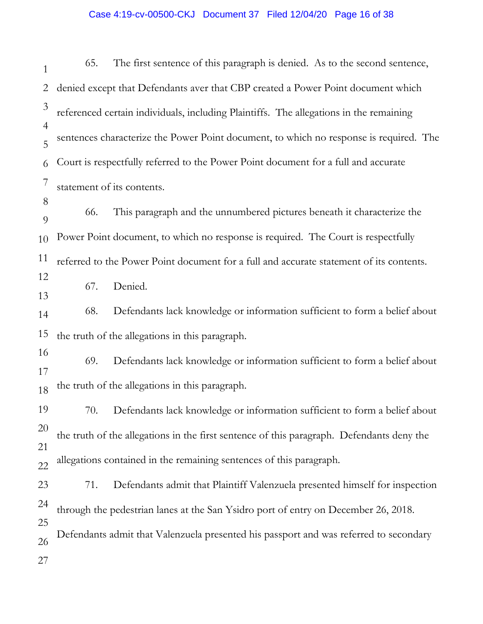# Case 4:19-cv-00500-CKJ Document 37 Filed 12/04/20 Page 16 of 38

| $\mathbf{1}$        | 65. | The first sentence of this paragraph is denied. As to the second sentence,                |
|---------------------|-----|-------------------------------------------------------------------------------------------|
| $\overline{2}$      |     | denied except that Defendants aver that CBP created a Power Point document which          |
| 3                   |     | referenced certain individuals, including Plaintiffs. The allegations in the remaining    |
| $\overline{4}$<br>5 |     | sentences characterize the Power Point document, to which no response is required. The    |
| 6                   |     | Court is respectfully referred to the Power Point document for a full and accurate        |
| 7                   |     | statement of its contents.                                                                |
| 8<br>9              | 66. | This paragraph and the unnumbered pictures beneath it characterize the                    |
| 10                  |     | Power Point document, to which no response is required. The Court is respectfully         |
| 11                  |     | referred to the Power Point document for a full and accurate statement of its contents.   |
| 12<br>13            | 67. | Denied.                                                                                   |
| 14                  | 68. | Defendants lack knowledge or information sufficient to form a belief about                |
| 15                  |     | the truth of the allegations in this paragraph.                                           |
| 16<br>17            | 69. | Defendants lack knowledge or information sufficient to form a belief about                |
| 18                  |     | the truth of the allegations in this paragraph.                                           |
| 19                  |     | 70. Defendants lack knowledge or information sufficient to form a belief about            |
| 20                  |     | the truth of the allegations in the first sentence of this paragraph. Defendants deny the |
| 21<br>22            |     | allegations contained in the remaining sentences of this paragraph.                       |
| 23                  | 71. | Defendants admit that Plaintiff Valenzuela presented himself for inspection               |
| 24                  |     | through the pedestrian lanes at the San Ysidro port of entry on December 26, 2018.        |
| 25<br>26            |     | Defendants admit that Valenzuela presented his passport and was referred to secondary     |
| 27                  |     |                                                                                           |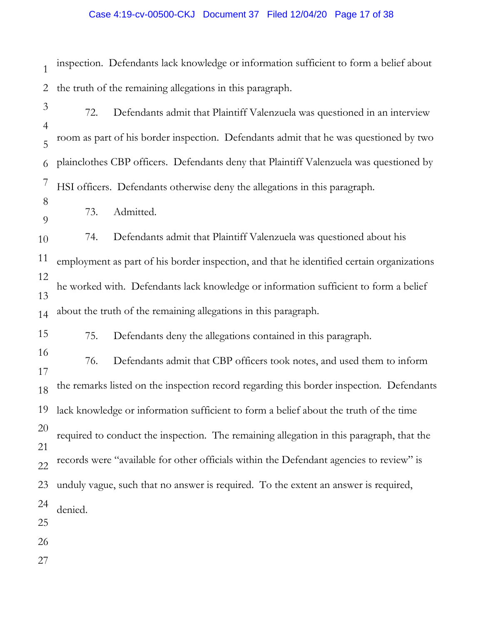## Case 4:19-cv-00500-CKJ Document 37 Filed 12/04/20 Page 17 of 38

1 2 inspection. Defendants lack knowledge or information sufficient to form a belief about the truth of the remaining allegations in this paragraph.

3 4 5 6 7 8 72. Defendants admit that Plaintiff Valenzuela was questioned in an interview room as part of his border inspection. Defendants admit that he was questioned by two plainclothes CBP officers. Defendants deny that Plaintiff Valenzuela was questioned by HSI officers. Defendants otherwise deny the allegations in this paragraph.

 $\overline{Q}$ 73. Admitted.

10 74. Defendants admit that Plaintiff Valenzuela was questioned about his

11 12 13 14 employment as part of his border inspection, and that he identified certain organizations he worked with. Defendants lack knowledge or information sufficient to form a belief about the truth of the remaining allegations in this paragraph.

15 75. Defendants deny the allegations contained in this paragraph.

17 18 19 20 21 22 23 24 25 76. Defendants admit that CBP officers took notes, and used them to inform the remarks listed on the inspection record regarding this border inspection. Defendants lack knowledge or information sufficient to form a belief about the truth of the time required to conduct the inspection. The remaining allegation in this paragraph, that the records were "available for other officials within the Defendant agencies to review" is unduly vague, such that no answer is required. To the extent an answer is required, denied.

26

16

27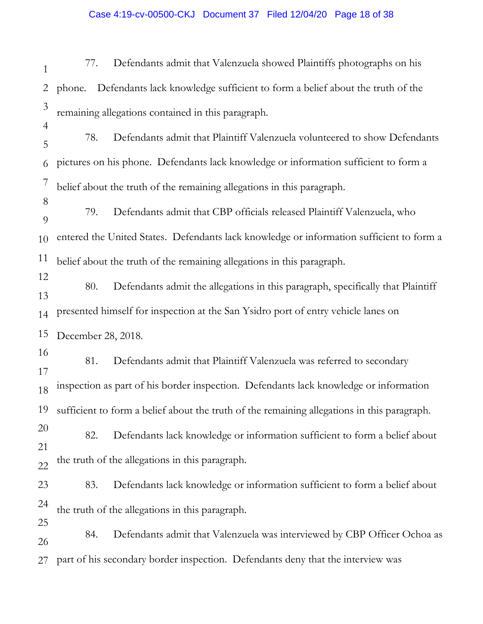# Case 4:19-cv-00500-CKJ Document 37 Filed 12/04/20 Page 18 of 38

| 1                                | Defendants admit that Valenzuela showed Plaintiffs photographs on his<br>77.                   |
|----------------------------------|------------------------------------------------------------------------------------------------|
| 2                                | Defendants lack knowledge sufficient to form a belief about the truth of the<br>phone.         |
| $\mathfrak{Z}$<br>$\overline{4}$ | remaining allegations contained in this paragraph.                                             |
| 5                                | 78.<br>Defendants admit that Plaintiff Valenzuela volunteered to show Defendants               |
| 6                                | pictures on his phone. Defendants lack knowledge or information sufficient to form a           |
| 7                                | belief about the truth of the remaining allegations in this paragraph.                         |
| 8<br>9                           | Defendants admit that CBP officials released Plaintiff Valenzuela, who<br>79.                  |
| 10                               | entered the United States. Defendants lack knowledge or information sufficient to form a       |
| 11                               | belief about the truth of the remaining allegations in this paragraph.                         |
| 12<br>13                         | 80.<br>Defendants admit the allegations in this paragraph, specifically that Plaintiff         |
| 14                               | presented himself for inspection at the San Ysidro port of entry vehicle lanes on              |
| 15                               | December 28, 2018.                                                                             |
| 16<br>17                         | Defendants admit that Plaintiff Valenzuela was referred to secondary<br>81.                    |
| 18                               | inspection as part of his border inspection. Defendants lack knowledge or information          |
|                                  | 19 sufficient to form a belief about the truth of the remaining allegations in this paragraph. |
| 20                               | Defendants lack knowledge or information sufficient to form a belief about<br>82.              |
| 21<br>$\overline{22}$            | the truth of the allegations in this paragraph.                                                |
| 23                               | Defendants lack knowledge or information sufficient to form a belief about<br>83.              |
| 24                               | the truth of the allegations in this paragraph.                                                |
| 25<br>26                         | Defendants admit that Valenzuela was interviewed by CBP Officer Ochoa as<br>84.                |
| 27                               | part of his secondary border inspection. Defendants deny that the interview was                |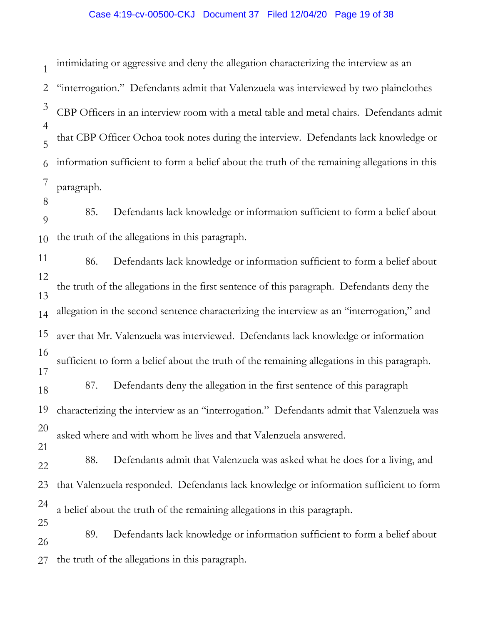# Case 4:19-cv-00500-CKJ Document 37 Filed 12/04/20 Page 19 of 38

1 2 3 4 5 6 7 8 9 10 11 12 13 14 15 16 17 18 19 20 21 22 23 24 25 26 27 intimidating or aggressive and deny the allegation characterizing the interview as an "interrogation." Defendants admit that Valenzuela was interviewed by two plainclothes CBP Officers in an interview room with a metal table and metal chairs. Defendants admit that CBP Officer Ochoa took notes during the interview. Defendants lack knowledge or information sufficient to form a belief about the truth of the remaining allegations in this paragraph. 85. Defendants lack knowledge or information sufficient to form a belief about the truth of the allegations in this paragraph. 86. Defendants lack knowledge or information sufficient to form a belief about the truth of the allegations in the first sentence of this paragraph. Defendants deny the allegation in the second sentence characterizing the interview as an "interrogation," and aver that Mr. Valenzuela was interviewed. Defendants lack knowledge or information sufficient to form a belief about the truth of the remaining allegations in this paragraph. 87. Defendants deny the allegation in the first sentence of this paragraph characterizing the interview as an "interrogation." Defendants admit that Valenzuela was asked where and with whom he lives and that Valenzuela answered. 88. Defendants admit that Valenzuela was asked what he does for a living, and that Valenzuela responded. Defendants lack knowledge or information sufficient to form a belief about the truth of the remaining allegations in this paragraph. 89. Defendants lack knowledge or information sufficient to form a belief about the truth of the allegations in this paragraph.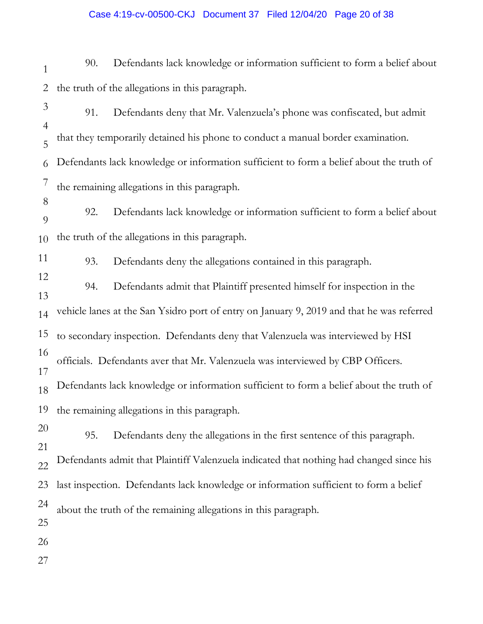1 2 3 4 5 6 7 8 9 10 11 12 13 14 15 16 17 18 19 20 21 22 23 24 25 26 27 90. Defendants lack knowledge or information sufficient to form a belief about the truth of the allegations in this paragraph. 91. Defendants deny that Mr. Valenzuela's phone was confiscated, but admit that they temporarily detained his phone to conduct a manual border examination. Defendants lack knowledge or information sufficient to form a belief about the truth of the remaining allegations in this paragraph. 92. Defendants lack knowledge or information sufficient to form a belief about the truth of the allegations in this paragraph. 93. Defendants deny the allegations contained in this paragraph. 94. Defendants admit that Plaintiff presented himself for inspection in the vehicle lanes at the San Ysidro port of entry on January 9, 2019 and that he was referred to secondary inspection. Defendants deny that Valenzuela was interviewed by HSI officials. Defendants aver that Mr. Valenzuela was interviewed by CBP Officers. Defendants lack knowledge or information sufficient to form a belief about the truth of the remaining allegations in this paragraph. 95. Defendants deny the allegations in the first sentence of this paragraph. Defendants admit that Plaintiff Valenzuela indicated that nothing had changed since his last inspection. Defendants lack knowledge or information sufficient to form a belief about the truth of the remaining allegations in this paragraph.

# Case 4:19-cv-00500-CKJ Document 37 Filed 12/04/20 Page 20 of 38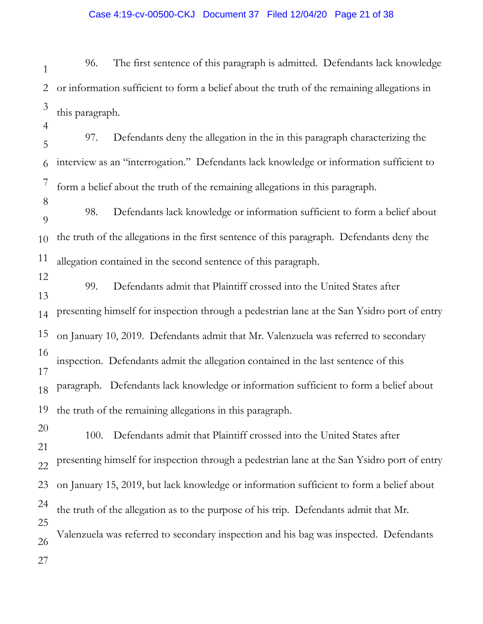# Case 4:19-cv-00500-CKJ Document 37 Filed 12/04/20 Page 21 of 38

1 2 3 96. The first sentence of this paragraph is admitted. Defendants lack knowledge or information sufficient to form a belief about the truth of the remaining allegations in this paragraph.

5 6 7 97. Defendants deny the allegation in the in this paragraph characterizing the interview as an "interrogation." Defendants lack knowledge or information sufficient to form a belief about the truth of the remaining allegations in this paragraph.

4

8

9 10 11 98. Defendants lack knowledge or information sufficient to form a belief about the truth of the allegations in the first sentence of this paragraph. Defendants deny the allegation contained in the second sentence of this paragraph.

12 13 14 15 16 17 18 19 99. Defendants admit that Plaintiff crossed into the United States after presenting himself for inspection through a pedestrian lane at the San Ysidro port of entry on January 10, 2019. Defendants admit that Mr. Valenzuela was referred to secondary inspection. Defendants admit the allegation contained in the last sentence of this paragraph. Defendants lack knowledge or information sufficient to form a belief about the truth of the remaining allegations in this paragraph.

20 21 22 23 24 25 26 27 100. Defendants admit that Plaintiff crossed into the United States after presenting himself for inspection through a pedestrian lane at the San Ysidro port of entry on January 15, 2019, but lack knowledge or information sufficient to form a belief about the truth of the allegation as to the purpose of his trip. Defendants admit that Mr. Valenzuela was referred to secondary inspection and his bag was inspected. Defendants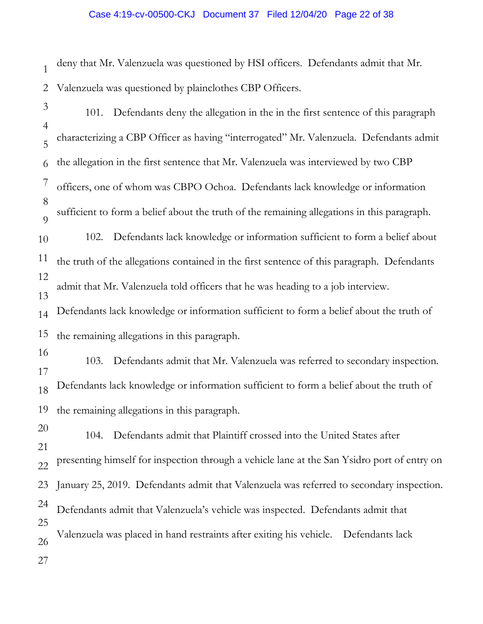# Case 4:19-cv-00500-CKJ Document 37 Filed 12/04/20 Page 22 of 38

1 2 deny that Mr. Valenzuela was questioned by HSI officers. Defendants admit that Mr. Valenzuela was questioned by plainclothes CBP Officers.

3 4 5 6 7 8  $\overline{Q}$ 10 11 12 13 14 15 16 17 18 19 20 21 22 23 24 25 26 27 101. Defendants deny the allegation in the in the first sentence of this paragraph characterizing a CBP Officer as having "interrogated" Mr. Valenzuela. Defendants admit the allegation in the first sentence that Mr. Valenzuela was interviewed by two CBP officers, one of whom was CBPO Ochoa. Defendants lack knowledge or information sufficient to form a belief about the truth of the remaining allegations in this paragraph. 102. Defendants lack knowledge or information sufficient to form a belief about the truth of the allegations contained in the first sentence of this paragraph. Defendants admit that Mr. Valenzuela told officers that he was heading to a job interview. Defendants lack knowledge or information sufficient to form a belief about the truth of the remaining allegations in this paragraph. 103. Defendants admit that Mr. Valenzuela was referred to secondary inspection. Defendants lack knowledge or information sufficient to form a belief about the truth of the remaining allegations in this paragraph. 104. Defendants admit that Plaintiff crossed into the United States after presenting himself for inspection through a vehicle lane at the San Ysidro port of entry on January 25, 2019. Defendants admit that Valenzuela was referred to secondary inspection. Defendants admit that Valenzuela's vehicle was inspected. Defendants admit that Valenzuela was placed in hand restraints after exiting his vehicle. Defendants lack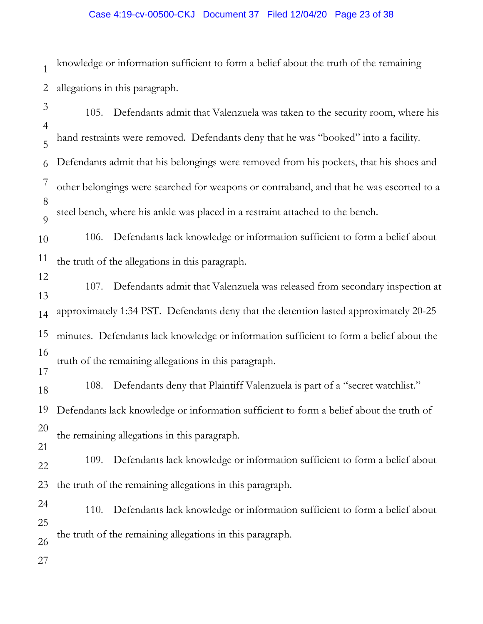# Case 4:19-cv-00500-CKJ Document 37 Filed 12/04/20 Page 23 of 38

1 2 knowledge or information sufficient to form a belief about the truth of the remaining allegations in this paragraph.

3 4 5 6 7 8  $\overline{O}$ 10 11 12 13 14 15 16 17 18 19 20 21 22 23 24 25 26 27 105. Defendants admit that Valenzuela was taken to the security room, where his hand restraints were removed. Defendants deny that he was "booked" into a facility. Defendants admit that his belongings were removed from his pockets, that his shoes and other belongings were searched for weapons or contraband, and that he was escorted to a steel bench, where his ankle was placed in a restraint attached to the bench. 106. Defendants lack knowledge or information sufficient to form a belief about the truth of the allegations in this paragraph. 107. Defendants admit that Valenzuela was released from secondary inspection at approximately 1:34 PST. Defendants deny that the detention lasted approximately 20-25 minutes. Defendants lack knowledge or information sufficient to form a belief about the truth of the remaining allegations in this paragraph. 108. Defendants deny that Plaintiff Valenzuela is part of a "secret watchlist." Defendants lack knowledge or information sufficient to form a belief about the truth of the remaining allegations in this paragraph. 109. Defendants lack knowledge or information sufficient to form a belief about the truth of the remaining allegations in this paragraph. 110. Defendants lack knowledge or information sufficient to form a belief about the truth of the remaining allegations in this paragraph.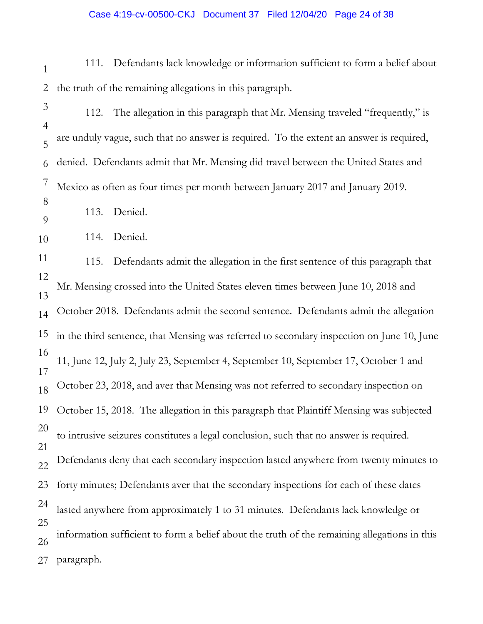#### Case 4:19-cv-00500-CKJ Document 37 Filed 12/04/20 Page 24 of 38

- 1 2 111. Defendants lack knowledge or information sufficient to form a belief about the truth of the remaining allegations in this paragraph.
- 3 4 5 6 7 8 112. The allegation in this paragraph that Mr. Mensing traveled "frequently," is are unduly vague, such that no answer is required. To the extent an answer is required, denied. Defendants admit that Mr. Mensing did travel between the United States and Mexico as often as four times per month between January 2017 and January 2019.
- 9 113. Denied.
- 10 114. Denied.

11 12 13 14 15 16 17 18 19 20 21 22 23 24 25 26 27 115. Defendants admit the allegation in the first sentence of this paragraph that Mr. Mensing crossed into the United States eleven times between June 10, 2018 and October 2018. Defendants admit the second sentence. Defendants admit the allegation in the third sentence, that Mensing was referred to secondary inspection on June 10, June 11, June 12, July 2, July 23, September 4, September 10, September 17, October 1 and October 23, 2018, and aver that Mensing was not referred to secondary inspection on October 15, 2018. The allegation in this paragraph that Plaintiff Mensing was subjected to intrusive seizures constitutes a legal conclusion, such that no answer is required. Defendants deny that each secondary inspection lasted anywhere from twenty minutes to forty minutes; Defendants aver that the secondary inspections for each of these dates lasted anywhere from approximately 1 to 31 minutes. Defendants lack knowledge or information sufficient to form a belief about the truth of the remaining allegations in this paragraph.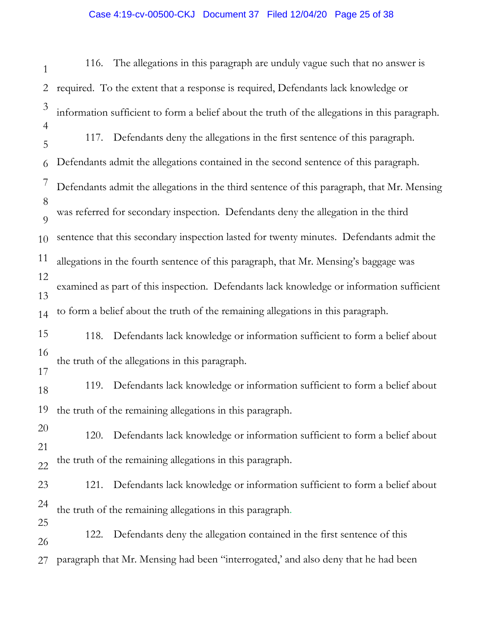# Case 4:19-cv-00500-CKJ Document 37 Filed 12/04/20 Page 25 of 38

1 2 3 4 5 6 7 8  $\overline{Q}$ 10 11 12 13 14 15 16 17 18 19 20 21 22 23 24 25 26 27 116. The allegations in this paragraph are unduly vague such that no answer is required. To the extent that a response is required, Defendants lack knowledge or information sufficient to form a belief about the truth of the allegations in this paragraph. 117. Defendants deny the allegations in the first sentence of this paragraph. Defendants admit the allegations contained in the second sentence of this paragraph. Defendants admit the allegations in the third sentence of this paragraph, that Mr. Mensing was referred for secondary inspection. Defendants deny the allegation in the third sentence that this secondary inspection lasted for twenty minutes. Defendants admit the allegations in the fourth sentence of this paragraph, that Mr. Mensing's baggage was examined as part of this inspection. Defendants lack knowledge or information sufficient to form a belief about the truth of the remaining allegations in this paragraph. 118. Defendants lack knowledge or information sufficient to form a belief about the truth of the allegations in this paragraph. 119. Defendants lack knowledge or information sufficient to form a belief about the truth of the remaining allegations in this paragraph. 120. Defendants lack knowledge or information sufficient to form a belief about the truth of the remaining allegations in this paragraph. 121. Defendants lack knowledge or information sufficient to form a belief about the truth of the remaining allegations in this paragraph. 122. Defendants deny the allegation contained in the first sentence of this paragraph that Mr. Mensing had been "interrogated,' and also deny that he had been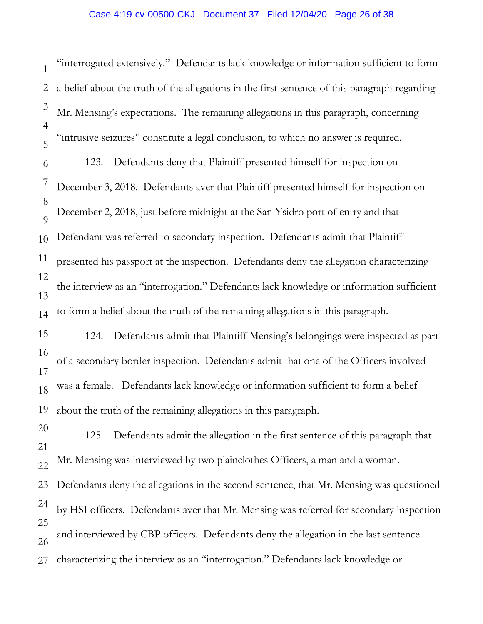1 2 3 4 5 6 7 8  $\overline{Q}$ 10 11 12 13 14 15 16 17 18 19 20 21 22 23 24 25 26 27 "interrogated extensively." Defendants lack knowledge or information sufficient to form a belief about the truth of the allegations in the first sentence of this paragraph regarding Mr. Mensing's expectations. The remaining allegations in this paragraph, concerning "intrusive seizures" constitute a legal conclusion, to which no answer is required. 123. Defendants deny that Plaintiff presented himself for inspection on December 3, 2018. Defendants aver that Plaintiff presented himself for inspection on December 2, 2018, just before midnight at the San Ysidro port of entry and that Defendant was referred to secondary inspection. Defendants admit that Plaintiff presented his passport at the inspection. Defendants deny the allegation characterizing the interview as an "interrogation." Defendants lack knowledge or information sufficient to form a belief about the truth of the remaining allegations in this paragraph. 124. Defendants admit that Plaintiff Mensing's belongings were inspected as part of a secondary border inspection. Defendants admit that one of the Officers involved was a female. Defendants lack knowledge or information sufficient to form a belief about the truth of the remaining allegations in this paragraph. 125. Defendants admit the allegation in the first sentence of this paragraph that Mr. Mensing was interviewed by two plainclothes Officers, a man and a woman. Defendants deny the allegations in the second sentence, that Mr. Mensing was questioned by HSI officers. Defendants aver that Mr. Mensing was referred for secondary inspection and interviewed by CBP officers. Defendants deny the allegation in the last sentence characterizing the interview as an "interrogation." Defendants lack knowledge or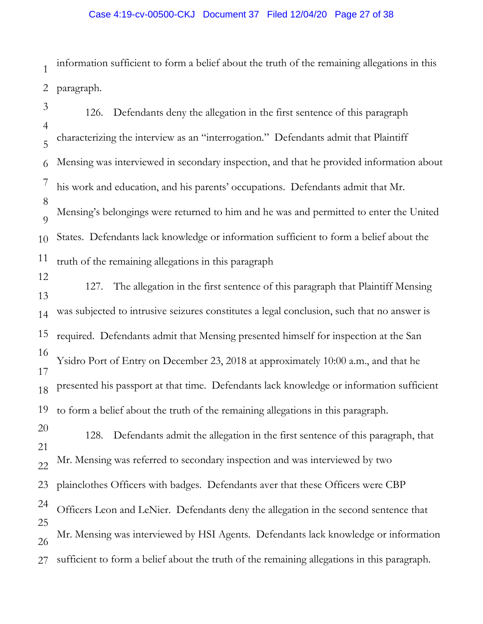## Case 4:19-cv-00500-CKJ Document 37 Filed 12/04/20 Page 27 of 38

1 2 information sufficient to form a belief about the truth of the remaining allegations in this paragraph.

- 3 4 5 6 7 8  $\overline{Q}$ 10 11 12 13 14 15 16 17 18 19 20 21 22 23 24 25 26 126. Defendants deny the allegation in the first sentence of this paragraph characterizing the interview as an "interrogation." Defendants admit that Plaintiff Mensing was interviewed in secondary inspection, and that he provided information about his work and education, and his parents' occupations. Defendants admit that Mr. Mensing's belongings were returned to him and he was and permitted to enter the United States. Defendants lack knowledge or information sufficient to form a belief about the truth of the remaining allegations in this paragraph 127. The allegation in the first sentence of this paragraph that Plaintiff Mensing was subjected to intrusive seizures constitutes a legal conclusion, such that no answer is required. Defendants admit that Mensing presented himself for inspection at the San Ysidro Port of Entry on December 23, 2018 at approximately 10:00 a.m., and that he presented his passport at that time. Defendants lack knowledge or information sufficient to form a belief about the truth of the remaining allegations in this paragraph. 128. Defendants admit the allegation in the first sentence of this paragraph, that Mr. Mensing was referred to secondary inspection and was interviewed by two plainclothes Officers with badges. Defendants aver that these Officers were CBP Officers Leon and LeNier. Defendants deny the allegation in the second sentence that Mr. Mensing was interviewed by HSI Agents. Defendants lack knowledge or information
- 27 sufficient to form a belief about the truth of the remaining allegations in this paragraph.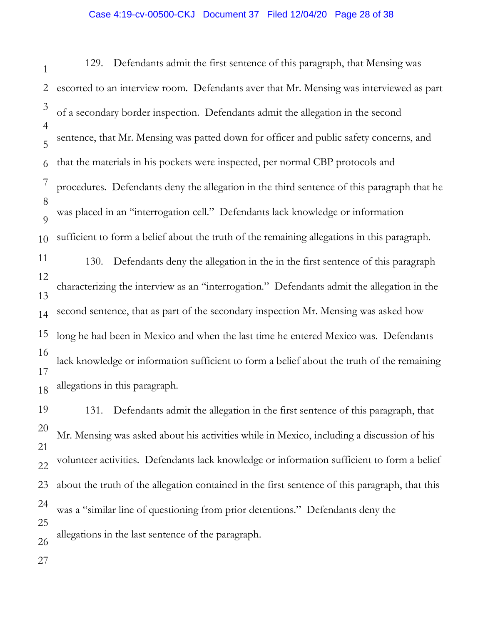#### Case 4:19-cv-00500-CKJ Document 37 Filed 12/04/20 Page 28 of 38

1 2 3 4 5 6 7 8  $\overline{Q}$ 10 11 12 13 14 15 16 17 18 19 20 21 22 23 24 25 26 129. Defendants admit the first sentence of this paragraph, that Mensing was escorted to an interview room. Defendants aver that Mr. Mensing was interviewed as part of a secondary border inspection. Defendants admit the allegation in the second sentence, that Mr. Mensing was patted down for officer and public safety concerns, and that the materials in his pockets were inspected, per normal CBP protocols and procedures. Defendants deny the allegation in the third sentence of this paragraph that he was placed in an "interrogation cell." Defendants lack knowledge or information sufficient to form a belief about the truth of the remaining allegations in this paragraph. 130. Defendants deny the allegation in the in the first sentence of this paragraph characterizing the interview as an "interrogation." Defendants admit the allegation in the second sentence, that as part of the secondary inspection Mr. Mensing was asked how long he had been in Mexico and when the last time he entered Mexico was. Defendants lack knowledge or information sufficient to form a belief about the truth of the remaining allegations in this paragraph. 131. Defendants admit the allegation in the first sentence of this paragraph, that Mr. Mensing was asked about his activities while in Mexico, including a discussion of his volunteer activities. Defendants lack knowledge or information sufficient to form a belief about the truth of the allegation contained in the first sentence of this paragraph, that this was a "similar line of questioning from prior detentions." Defendants deny the allegations in the last sentence of the paragraph.

27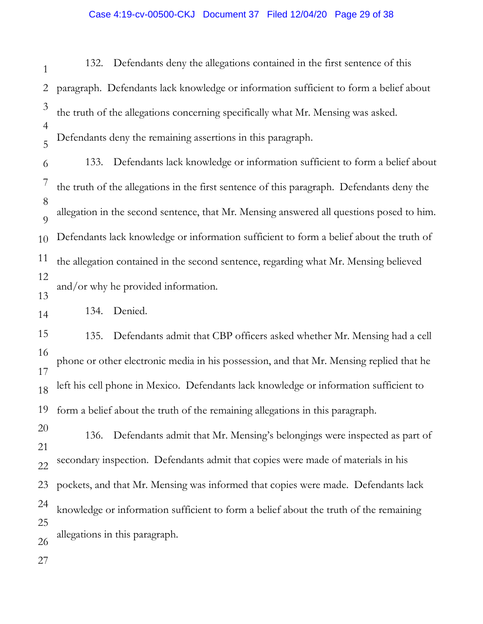## Case 4:19-cv-00500-CKJ Document 37 Filed 12/04/20 Page 29 of 38

1 2 3 4 5 6 7 8  $\overline{Q}$ 10 11 12 13 14 15 16 17 18 19 20 21 22 23 24 25 26 27 132. Defendants deny the allegations contained in the first sentence of this paragraph. Defendants lack knowledge or information sufficient to form a belief about the truth of the allegations concerning specifically what Mr. Mensing was asked. Defendants deny the remaining assertions in this paragraph. 133. Defendants lack knowledge or information sufficient to form a belief about the truth of the allegations in the first sentence of this paragraph. Defendants deny the allegation in the second sentence, that Mr. Mensing answered all questions posed to him. Defendants lack knowledge or information sufficient to form a belief about the truth of the allegation contained in the second sentence, regarding what Mr. Mensing believed and/or why he provided information. 134. Denied. 135. Defendants admit that CBP officers asked whether Mr. Mensing had a cell phone or other electronic media in his possession, and that Mr. Mensing replied that he left his cell phone in Mexico. Defendants lack knowledge or information sufficient to form a belief about the truth of the remaining allegations in this paragraph. 136. Defendants admit that Mr. Mensing's belongings were inspected as part of secondary inspection. Defendants admit that copies were made of materials in his pockets, and that Mr. Mensing was informed that copies were made. Defendants lack knowledge or information sufficient to form a belief about the truth of the remaining allegations in this paragraph.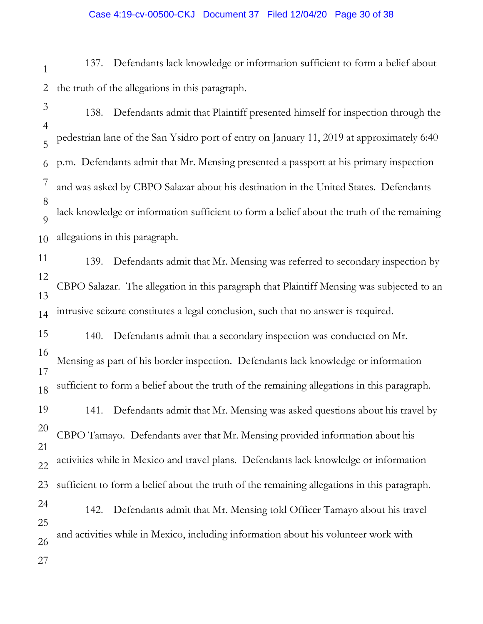#### Case 4:19-cv-00500-CKJ Document 37 Filed 12/04/20 Page 30 of 38

1 2 137. Defendants lack knowledge or information sufficient to form a belief about the truth of the allegations in this paragraph.

3

4 5 6 7 8  $\overline{Q}$ 10 138. Defendants admit that Plaintiff presented himself for inspection through the pedestrian lane of the San Ysidro port of entry on January 11, 2019 at approximately 6:40 p.m. Defendants admit that Mr. Mensing presented a passport at his primary inspection and was asked by CBPO Salazar about his destination in the United States. Defendants lack knowledge or information sufficient to form a belief about the truth of the remaining allegations in this paragraph.

11 12 13 14 139. Defendants admit that Mr. Mensing was referred to secondary inspection by CBPO Salazar. The allegation in this paragraph that Plaintiff Mensing was subjected to an intrusive seizure constitutes a legal conclusion, such that no answer is required.

15 16 17 18 19 20 21 140. Defendants admit that a secondary inspection was conducted on Mr. Mensing as part of his border inspection. Defendants lack knowledge or information sufficient to form a belief about the truth of the remaining allegations in this paragraph. 141. Defendants admit that Mr. Mensing was asked questions about his travel by CBPO Tamayo. Defendants aver that Mr. Mensing provided information about his

22 activities while in Mexico and travel plans. Defendants lack knowledge or information

23 sufficient to form a belief about the truth of the remaining allegations in this paragraph.

24 25 26 142. Defendants admit that Mr. Mensing told Officer Tamayo about his travel and activities while in Mexico, including information about his volunteer work with

27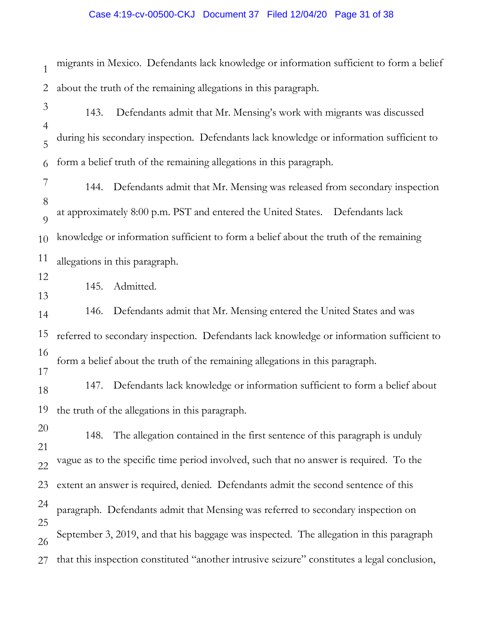# Case 4:19-cv-00500-CKJ Document 37 Filed 12/04/20 Page 31 of 38

| $\mathbf{1}$        | migrants in Mexico. Defendants lack knowledge or information sufficient to form a belief     |  |
|---------------------|----------------------------------------------------------------------------------------------|--|
| $\overline{2}$      | about the truth of the remaining allegations in this paragraph.                              |  |
| 3                   | Defendants admit that Mr. Mensing's work with migrants was discussed<br>143.                 |  |
| $\overline{4}$<br>5 | during his secondary inspection. Defendants lack knowledge or information sufficient to      |  |
| 6                   | form a belief truth of the remaining allegations in this paragraph.                          |  |
| 7                   | Defendants admit that Mr. Mensing was released from secondary inspection<br>144.             |  |
| 8<br>9              | at approximately 8:00 p.m. PST and entered the United States.  Defendants lack               |  |
| 10                  | knowledge or information sufficient to form a belief about the truth of the remaining        |  |
| 11                  | allegations in this paragraph.                                                               |  |
| 12<br>13            | Admitted.<br>145.                                                                            |  |
| 14                  | 146. Defendants admit that Mr. Mensing entered the United States and was                     |  |
| 15                  | referred to secondary inspection. Defendants lack knowledge or information sufficient to     |  |
| 16<br>17            | form a belief about the truth of the remaining allegations in this paragraph.                |  |
| 18                  | 147. Defendants lack knowledge or information sufficient to form a belief about              |  |
|                     | 19 the truth of the allegations in this paragraph.                                           |  |
| 20<br>21            | The allegation contained in the first sentence of this paragraph is unduly<br>148.           |  |
| 22                  | vague as to the specific time period involved, such that no answer is required. To the       |  |
| 23                  | extent an answer is required, denied. Defendants admit the second sentence of this           |  |
| 24<br>25            | paragraph. Defendants admit that Mensing was referred to secondary inspection on             |  |
| 26                  | September 3, 2019, and that his baggage was inspected. The allegation in this paragraph      |  |
| 27                  | that this inspection constituted "another intrusive seizure" constitutes a legal conclusion, |  |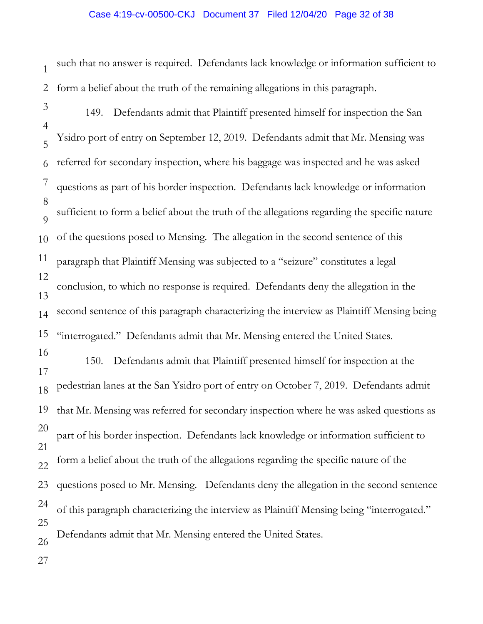### Case 4:19-cv-00500-CKJ Document 37 Filed 12/04/20 Page 32 of 38

1 2 such that no answer is required. Defendants lack knowledge or information sufficient to form a belief about the truth of the remaining allegations in this paragraph.

- 3 4 5 6 7 8  $\overline{Q}$ 10 11 12 13 14 15 16 17 18 19 20 21 22 23 24 25 26 149. Defendants admit that Plaintiff presented himself for inspection the San Ysidro port of entry on September 12, 2019. Defendants admit that Mr. Mensing was referred for secondary inspection, where his baggage was inspected and he was asked questions as part of his border inspection. Defendants lack knowledge or information sufficient to form a belief about the truth of the allegations regarding the specific nature of the questions posed to Mensing. The allegation in the second sentence of this paragraph that Plaintiff Mensing was subjected to a "seizure" constitutes a legal conclusion, to which no response is required. Defendants deny the allegation in the second sentence of this paragraph characterizing the interview as Plaintiff Mensing being "interrogated." Defendants admit that Mr. Mensing entered the United States. 150. Defendants admit that Plaintiff presented himself for inspection at the pedestrian lanes at the San Ysidro port of entry on October 7, 2019. Defendants admit that Mr. Mensing was referred for secondary inspection where he was asked questions as part of his border inspection. Defendants lack knowledge or information sufficient to form a belief about the truth of the allegations regarding the specific nature of the questions posed to Mr. Mensing. Defendants deny the allegation in the second sentence of this paragraph characterizing the interview as Plaintiff Mensing being "interrogated." Defendants admit that Mr. Mensing entered the United States.
- 27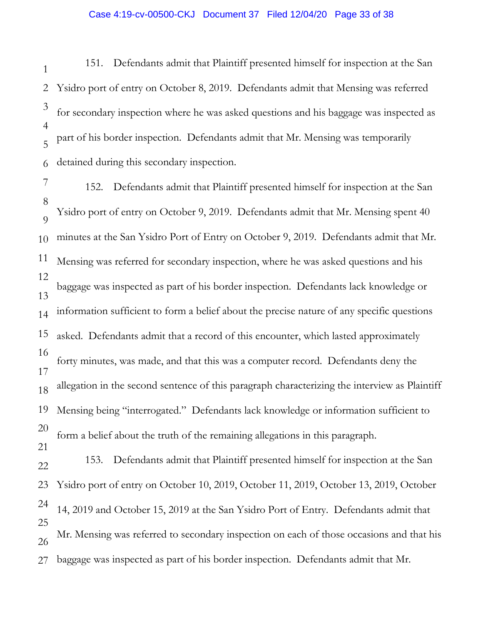#### Case 4:19-cv-00500-CKJ Document 37 Filed 12/04/20 Page 33 of 38

1 2 3 4 5 6 151. Defendants admit that Plaintiff presented himself for inspection at the San Ysidro port of entry on October 8, 2019. Defendants admit that Mensing was referred for secondary inspection where he was asked questions and his baggage was inspected as part of his border inspection. Defendants admit that Mr. Mensing was temporarily detained during this secondary inspection.

7 8  $\overline{O}$ 10 11 12 13 14 15 16 17 18 19 20 21 22 23 24 152. Defendants admit that Plaintiff presented himself for inspection at the San Ysidro port of entry on October 9, 2019. Defendants admit that Mr. Mensing spent 40 minutes at the San Ysidro Port of Entry on October 9, 2019. Defendants admit that Mr. Mensing was referred for secondary inspection, where he was asked questions and his baggage was inspected as part of his border inspection. Defendants lack knowledge or information sufficient to form a belief about the precise nature of any specific questions asked. Defendants admit that a record of this encounter, which lasted approximately forty minutes, was made, and that this was a computer record. Defendants deny the allegation in the second sentence of this paragraph characterizing the interview as Plaintiff Mensing being "interrogated." Defendants lack knowledge or information sufficient to form a belief about the truth of the remaining allegations in this paragraph. 153. Defendants admit that Plaintiff presented himself for inspection at the San Ysidro port of entry on October 10, 2019, October 11, 2019, October 13, 2019, October 14, 2019 and October 15, 2019 at the San Ysidro Port of Entry. Defendants admit that

25 26 27 Mr. Mensing was referred to secondary inspection on each of those occasions and that his baggage was inspected as part of his border inspection. Defendants admit that Mr.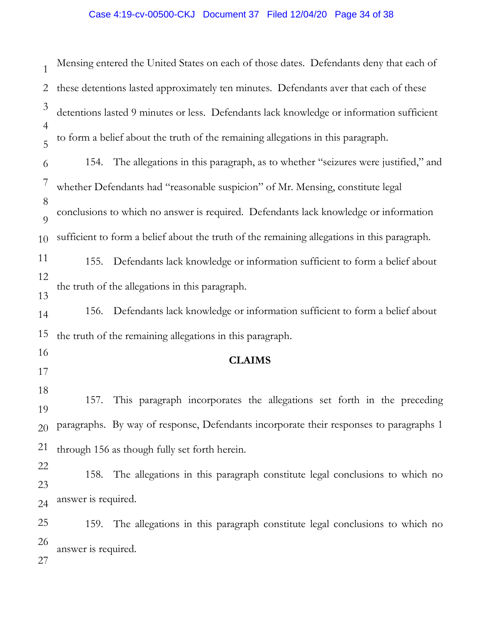# Case 4:19-cv-00500-CKJ Document 37 Filed 12/04/20 Page 34 of 38

| $\mathbf{1}$        |                     | Mensing entered the United States on each of those dates. Defendants deny that each of      |
|---------------------|---------------------|---------------------------------------------------------------------------------------------|
| 2                   |                     | these detentions lasted approximately ten minutes. Defendants aver that each of these       |
| 3                   |                     | detentions lasted 9 minutes or less. Defendants lack knowledge or information sufficient    |
| $\overline{4}$<br>5 |                     | to form a belief about the truth of the remaining allegations in this paragraph.            |
| 6                   |                     | 154. The allegations in this paragraph, as to whether "seizures were justified," and        |
| 7                   |                     | whether Defendants had "reasonable suspicion" of Mr. Mensing, constitute legal              |
| 8<br>$\overline{Q}$ |                     | conclusions to which no answer is required. Defendants lack knowledge or information        |
| 10                  |                     | sufficient to form a belief about the truth of the remaining allegations in this paragraph. |
| 11                  | 155.                | Defendants lack knowledge or information sufficient to form a belief about                  |
| 12<br>13            |                     | the truth of the allegations in this paragraph.                                             |
| 14                  |                     | 156. Defendants lack knowledge or information sufficient to form a belief about             |
| 15                  |                     | the truth of the remaining allegations in this paragraph.                                   |
| 16<br>17            |                     | <b>CLAIMS</b>                                                                               |
| 18<br>19            | 157.                | This paragraph incorporates the allegations set forth in the preceding                      |
| 20                  |                     | paragraphs. By way of response, Defendants incorporate their responses to paragraphs 1      |
| 21                  |                     | through 156 as though fully set forth herein.                                               |
| 22<br>23            | 158.                | The allegations in this paragraph constitute legal conclusions to which no                  |
| 24                  | answer is required. |                                                                                             |
| 25                  |                     | 159. The allegations in this paragraph constitute legal conclusions to which no             |
| 26<br>27            | answer is required. |                                                                                             |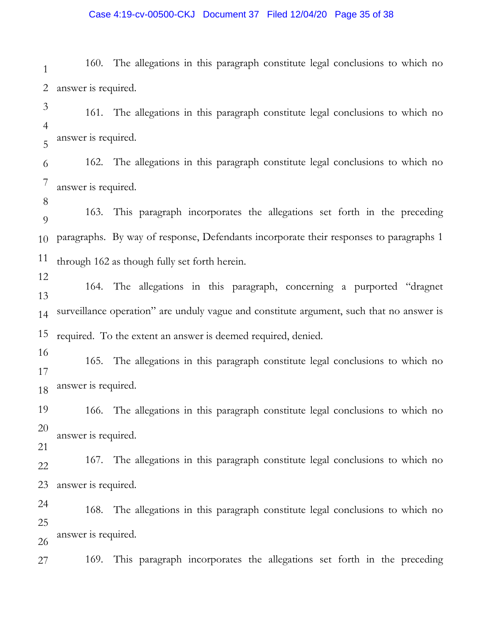### Case 4:19-cv-00500-CKJ Document 37 Filed 12/04/20 Page 35 of 38

1 2 160. The allegations in this paragraph constitute legal conclusions to which no answer is required.

3 4 5 161. The allegations in this paragraph constitute legal conclusions to which no answer is required.

6 7 162. The allegations in this paragraph constitute legal conclusions to which no answer is required.

8

12

 $\overline{Q}$ 10 11 163. This paragraph incorporates the allegations set forth in the preceding paragraphs. By way of response, Defendants incorporate their responses to paragraphs 1 through 162 as though fully set forth herein.

13 14 15 164. The allegations in this paragraph, concerning a purported "dragnet surveillance operation" are unduly vague and constitute argument, such that no answer is required. To the extent an answer is deemed required, denied.

16 17 18 165. The allegations in this paragraph constitute legal conclusions to which no answer is required.

19 20 166. The allegations in this paragraph constitute legal conclusions to which no answer is required.

21

22 23 167. The allegations in this paragraph constitute legal conclusions to which no answer is required.

24 25 26 168. The allegations in this paragraph constitute legal conclusions to which no answer is required.

27 169. This paragraph incorporates the allegations set forth in the preceding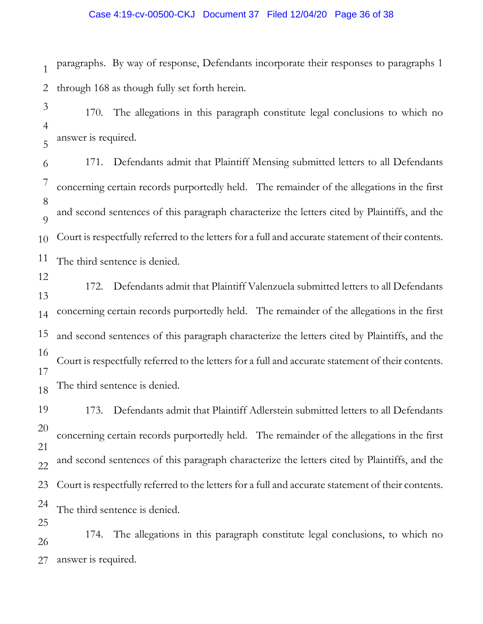### Case 4:19-cv-00500-CKJ Document 37 Filed 12/04/20 Page 36 of 38

1 2 paragraphs. By way of response, Defendants incorporate their responses to paragraphs 1 through 168 as though fully set forth herein.

3 4 5 170. The allegations in this paragraph constitute legal conclusions to which no answer is required.

6 7 8  $\overline{Q}$ 10 11 171. Defendants admit that Plaintiff Mensing submitted letters to all Defendants concerning certain records purportedly held. The remainder of the allegations in the first and second sentences of this paragraph characterize the letters cited by Plaintiffs, and the Court is respectfully referred to the letters for a full and accurate statement of their contents. The third sentence is denied.

12

13 14 15 16 17 18 172. Defendants admit that Plaintiff Valenzuela submitted letters to all Defendants concerning certain records purportedly held. The remainder of the allegations in the first and second sentences of this paragraph characterize the letters cited by Plaintiffs, and the Court is respectfully referred to the letters for a full and accurate statement of their contents. The third sentence is denied.

19 20 21 22 23 24 25 173. Defendants admit that Plaintiff Adlerstein submitted letters to all Defendants concerning certain records purportedly held. The remainder of the allegations in the first and second sentences of this paragraph characterize the letters cited by Plaintiffs, and the Court is respectfully referred to the letters for a full and accurate statement of their contents. The third sentence is denied.

26 27 174. The allegations in this paragraph constitute legal conclusions, to which no answer is required.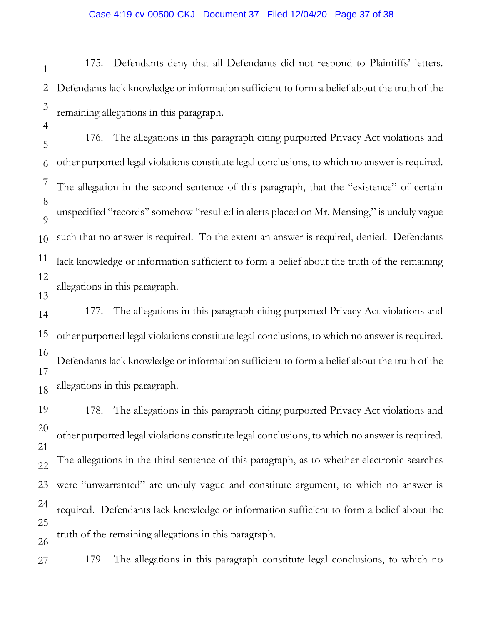## Case 4:19-cv-00500-CKJ Document 37 Filed 12/04/20 Page 37 of 38

1 2 3 175. Defendants deny that all Defendants did not respond to Plaintiffs' letters. Defendants lack knowledge or information sufficient to form a belief about the truth of the remaining allegations in this paragraph.

4

5 6 7 8  $\overline{Q}$ 10 11 12 13 176. The allegations in this paragraph citing purported Privacy Act violations and other purported legal violations constitute legal conclusions, to which no answer is required. The allegation in the second sentence of this paragraph, that the "existence" of certain unspecified "records" somehow "resulted in alerts placed on Mr. Mensing," is unduly vague such that no answer is required. To the extent an answer is required, denied. Defendants lack knowledge or information sufficient to form a belief about the truth of the remaining allegations in this paragraph.

14 15 16 17 18 177. The allegations in this paragraph citing purported Privacy Act violations and other purported legal violations constitute legal conclusions, to which no answer is required. Defendants lack knowledge or information sufficient to form a belief about the truth of the allegations in this paragraph.

19 20 21 22 23 24 25 26 178. The allegations in this paragraph citing purported Privacy Act violations and other purported legal violations constitute legal conclusions, to which no answer is required. The allegations in the third sentence of this paragraph, as to whether electronic searches were "unwarranted" are unduly vague and constitute argument, to which no answer is required. Defendants lack knowledge or information sufficient to form a belief about the truth of the remaining allegations in this paragraph.

27 179. The allegations in this paragraph constitute legal conclusions, to which no